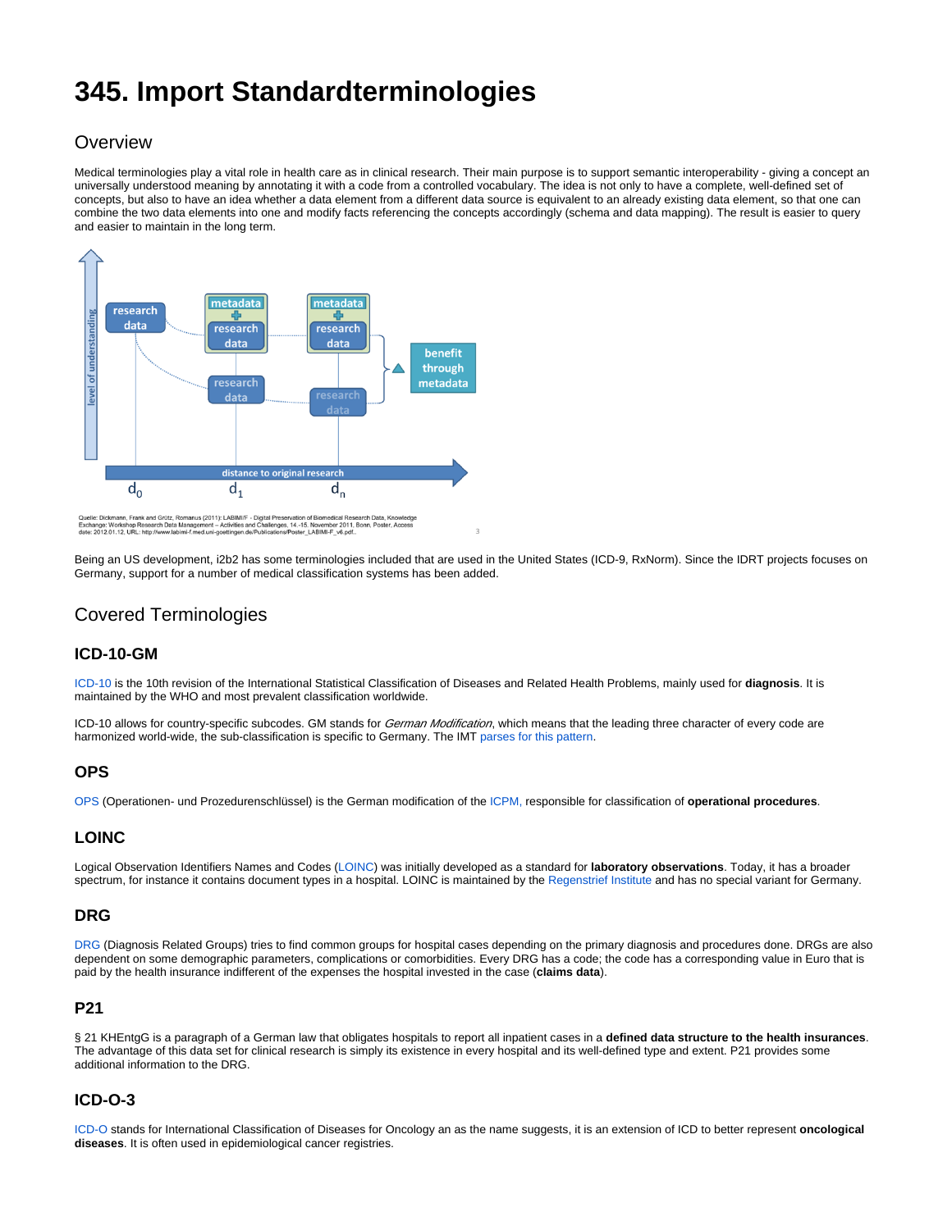# **345. Import Standardterminologies**

# **Overview**

Medical terminologies play a vital role in health care as in clinical research. Their main purpose is to support semantic interoperability - giving a concept an universally understood meaning by annotating it with a code from a controlled vocabulary. The idea is not only to have a complete, well-defined set of concepts, but also to have an idea whether a data element from a different data source is equivalent to an already existing data element, so that one can combine the two data elements into one and modify facts referencing the concepts accordingly (schema and data mapping). The result is easier to query and easier to maintain in the long term.



Quelle: Dickmann, Frank and Grütz, Romanus (2011): LABIMIF - Digital Preservation of Biomedical Research Data, Knowledg<br>Exchange: Workshop Research Data Management – Activities and Challenges, 14 -15. November 2011, Bonn,

Being an US development, i2b2 has some terminologies included that are used in the United States (ICD-9, RxNorm). Since the IDRT projects focuses on Germany, support for a number of medical classification systems has been added.

# Covered Terminologies

## **ICD-10-GM**

[ICD-10](https://en.wikipedia.org/wiki/ICD-10) is the 10th revision of the International Statistical Classification of Diseases and Related Health Problems, mainly used for **diagnosis**. It is maintained by the WHO and most prevalent classification worldwide.

ICD-10 allows for country-specific subcodes. GM stands for German Modification, which means that the leading three character of every code are harmonized world-wide, the sub-classification is specific to Germany. The IMT [parses for this pattern](http://community.i2b2.org/wiki/display/IDRT/352.+Editing#id-352.Editing-Mergingitemswithterminologies).

#### **OPS**

[OPS](https://en.wikipedia.org/wiki/OPS-301) (Operationen- und Prozedurenschlüssel) is the German modification of the [ICPM,](https://en.wikipedia.org/wiki/International_Classification_of_Procedures_in_Medicine) responsible for classification of **operational procedures**.

#### **LOINC**

Logical Observation Identifiers Names and Codes ([LOINC\)](https://en.wikipedia.org/wiki/LOINC) was initially developed as a standard for **laboratory observations**. Today, it has a broader spectrum, for instance it contains document types in a hospital. LOINC is maintained by the [Regenstrief Institute](https://en.wikipedia.org/wiki/Regenstrief_Institute) and has no special variant for Germany.

#### **DRG**

[DRG](https://en.wikipedia.org/wiki/Diagnosis-related_group) (Diagnosis Related Groups) tries to find common groups for hospital cases depending on the primary diagnosis and procedures done. DRGs are also dependent on some demographic parameters, complications or comorbidities. Every DRG has a code; the code has a corresponding value in Euro that is paid by the health insurance indifferent of the expenses the hospital invested in the case (**claims data**).

#### **P21**

§ 21 KHEntgG is a paragraph of a German law that obligates hospitals to report all inpatient cases in a defined data structure to the health insurances. The advantage of this data set for clinical research is simply its existence in every hospital and its well-defined type and extent. P21 provides some additional information to the DRG.

## **ICD-O-3**

[ICD-O](https://en.wikipedia.org/wiki/International_Classification_of_Diseases_for_Oncology) stands for International Classification of Diseases for Oncology an as the name suggests, it is an extension of ICD to better represent **oncological diseases**. It is often used in epidemiological cancer registries.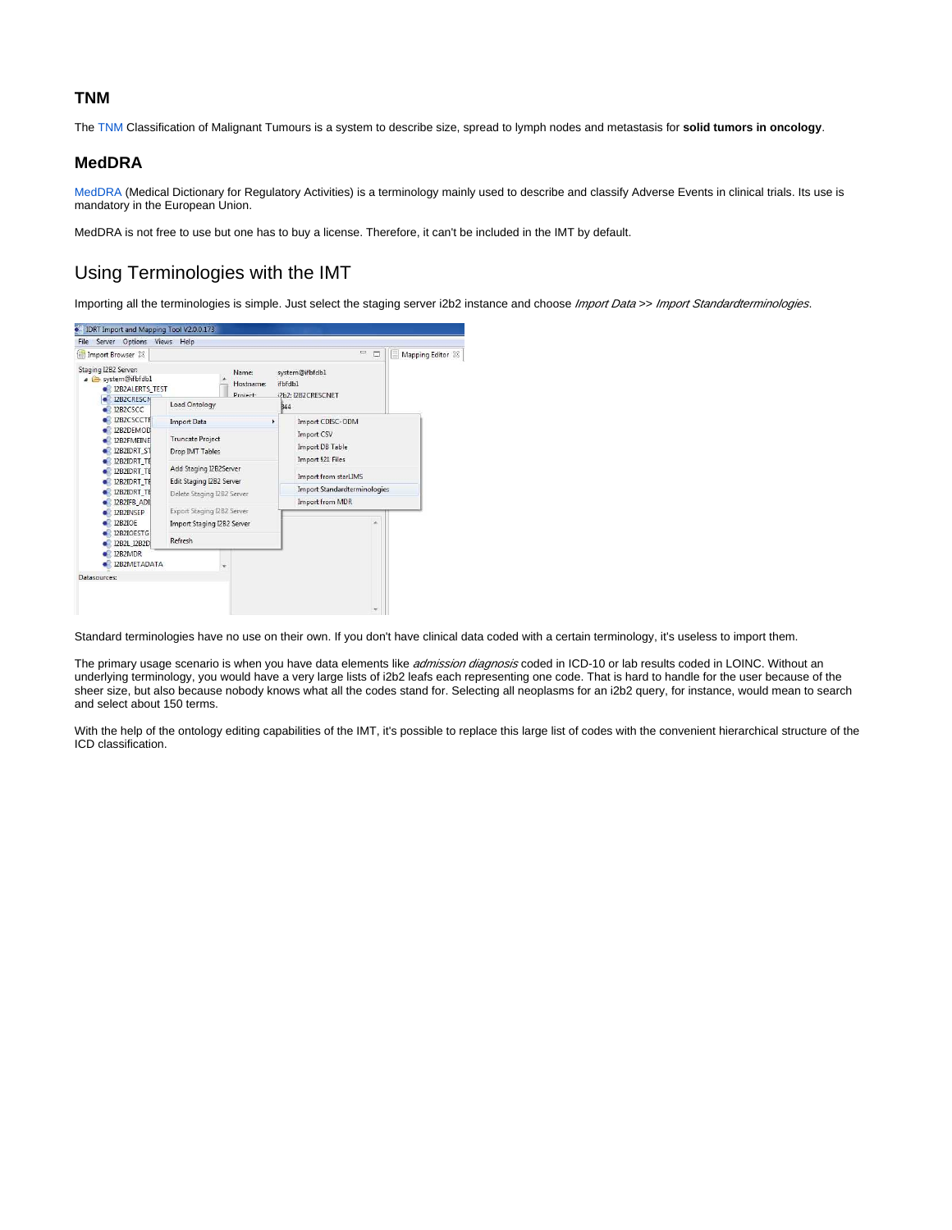#### **TNM**

The [TNM](https://en.wikipedia.org/wiki/TNM_staging_system) Classification of Malignant Tumours is a system to describe size, spread to lymph nodes and metastasis for **solid tumors in oncology**.

#### **MedDRA**

[MedDRA](https://en.wikipedia.org/wiki/MedDRA) (Medical Dictionary for Regulatory Activities) is a terminology mainly used to describe and classify Adverse Events in clinical trials. Its use is mandatory in the European Union.

MedDRA is not free to use but one has to buy a license. Therefore, it can't be included in the IMT by default.

## Using Terminologies with the IMT

Importing all the terminologies is simple. Just select the staging server i2b2 instance and choose Import Data >> Import Standardterminologies.



Standard terminologies have no use on their own. If you don't have clinical data coded with a certain terminology, it's useless to import them.

The primary usage scenario is when you have data elements like admission diagnosis coded in ICD-10 or lab results coded in LOINC. Without an underlying terminology, you would have a very large lists of i2b2 leafs each representing one code. That is hard to handle for the user because of the sheer size, but also because nobody knows what all the codes stand for. Selecting all neoplasms for an i2b2 query, for instance, would mean to search and select about 150 terms.

With the help of the ontology editing capabilities of the IMT, it's possible to replace this large list of codes with the convenient hierarchical structure of the ICD classification.